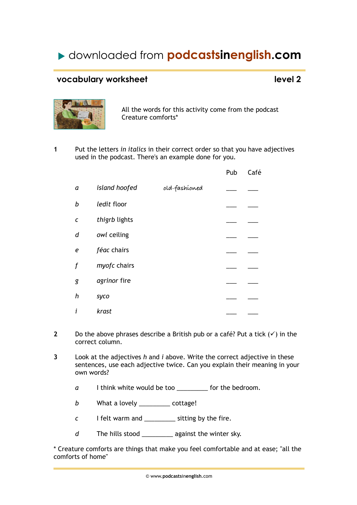## downloaded from **podcastsinenglish.com**

### **vocabulary worksheet level 2**



All the words for this activity come from the podcast Creature comforts\*

**1** Put the letters *in italics* in their correct order so that you have adjectives used in the podcast. There's an example done for you.

|   |               |               | Pub | Café |
|---|---------------|---------------|-----|------|
| a | island hoofed | old-fashíoned |     |      |
| b | ledit floor   |               |     |      |
| C | thigrb lights |               |     |      |
| d | owl ceiling   |               |     |      |
| e | féac chairs   |               |     |      |
| f | myofc chairs  |               |     |      |
| g | agrinor fire  |               |     |      |
| h | syco          |               |     |      |
| i | krast         |               |     |      |

- **2** Do the above phrases describe a British pub or a café? Put a tick  $(\checkmark)$  in the correct column.
- **3** Look at the adjectives *h* and *i* above. Write the correct adjective in these sentences, use each adjective twice. Can you explain their meaning in your own words?
	- *a* I think white would be too \_\_\_\_\_\_\_\_\_ for the bedroom.
	- *b* What a lovely \_\_\_\_\_\_\_\_\_ cottage!
	- *c* I felt warm and \_\_\_\_\_\_\_\_\_ sitting by the fire.
	- *d* The hills stood \_\_\_\_\_\_\_\_\_ against the winter sky.

\* Creature comforts are things that make you feel comfortable and at ease; "all the comforts of home"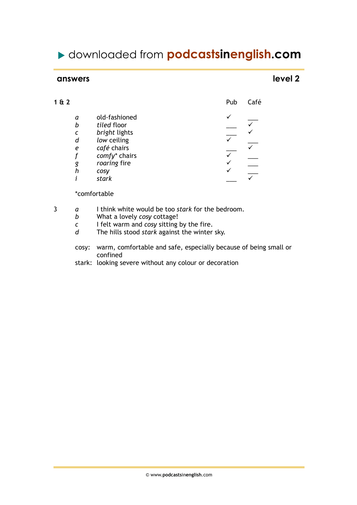## downloaded from **podcastsinenglish.com**

### **answers** level 2

| 1 & 2 |               | Pub | Café |
|-------|---------------|-----|------|
| a     | old-fashioned |     |      |
| b     | tiled floor   |     |      |
| C     | bright lights |     |      |
| d     | low ceiling   |     |      |
| e     | café chairs   |     |      |
|       | comfy* chairs |     |      |
| g     | roaring fire  |     |      |
| h     | cosy          |     |      |
|       | stark         |     |      |
|       |               |     |      |

\*comfortable

- 3 *a* I think white would be too *stark* for the bedroom.
	- *b* What a lovely *cosy* cottage!
	- *c* I felt warm and *cosy* sitting by the fire.<br>*d* The hills stood *stark* against the winter
	- The hills stood *stark* against the winter sky.
	- cosy: warm, comfortable and safe, especially because of being small or confined
	- stark: looking severe without any colour or decoration